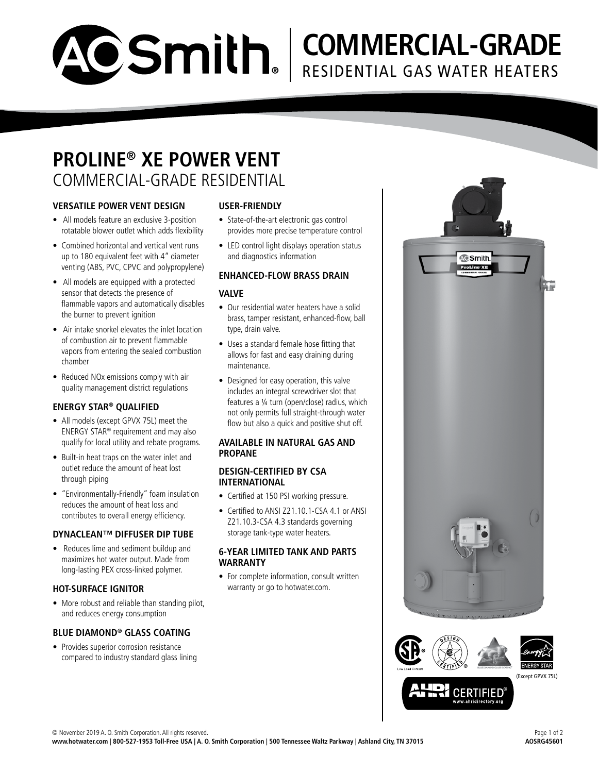

# **COMMERCIAL-GRADE** RESIDENTIAL GAS WATER HEATERS

### **PROLINE® XE POWER VENT** COMMERCIAL-GRADE RESIDENTIAL

#### **VERSATILE POWER VENT DESIGN**

- All models feature an exclusive 3-position rotatable blower outlet which adds flexibility
- Combined horizontal and vertical vent runs up to 180 equivalent feet with 4" diameter venting (ABS, PVC, CPVC and polypropylene)
- All models are equipped with a protected sensor that detects the presence of flammable vapors and automatically disables the burner to prevent ignition
- Air intake snorkel elevates the inlet location of combustion air to prevent flammable vapors from entering the sealed combustion chamber
- Reduced NOx emissions comply with air quality management district regulations

#### **ENERGY STAR® QUALIFIED**

- All models (except GPVX 75L) meet the ENERGY STAR® requirement and may also qualify for local utility and rebate programs.
- Built-in heat traps on the water inlet and outlet reduce the amount of heat lost through piping
- "Environmentally-Friendly" foam insulation reduces the amount of heat loss and contributes to overall energy efficiency.

#### **DYNACLEAN™ DIFFUSER DIP TUBE**

• Reduces lime and sediment buildup and maximizes hot water output. Made from long-lasting PEX cross-linked polymer.

#### **HOT-SURFACE IGNITOR**

• More robust and reliable than standing pilot. and reduces energy consumption

#### **BLUE DIAMOND® GLASS COATING**

• Provides superior corrosion resistance compared to industry standard glass lining

#### **USER-FRIENDLY**

- State-of-the-art electronic gas control provides more precise temperature control
- LED control light displays operation status and diagnostics information

#### **ENHANCED-FLOW BRASS DRAIN**

#### **VALVE**

- Our residential water heaters have a solid brass, tamper resistant, enhanced-flow, ball type, drain valve.
- Uses a standard female hose fitting that allows for fast and easy draining during maintenance.
- Designed for easy operation, this valve includes an integral screwdriver slot that features a ¼ turn (open/close) radius, which not only permits full straight-through water flow but also a quick and positive shut off.

#### **AVAILABLE IN NATURAL GAS AND PROPANE**

#### **DESIGN-CERTIFIED BY CSA INTERNATIONAL**

- Certified at 150 PSI working pressure.
- Certified to ANSI Z21.10.1-CSA 4.1 or ANSI Z21.10.3-CSA 4.3 standards governing storage tank-type water heaters.

#### **6-YEAR LIMITED TANK AND PARTS WARRANTY**

• For complete information, consult written warranty or go to hotwater.com.